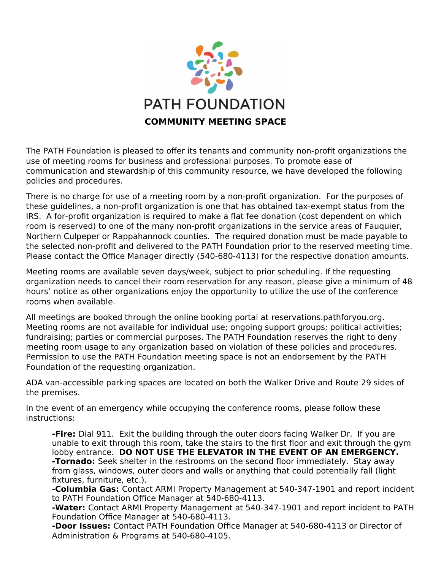

The PATH Foundation is pleased to offer its tenants and community non-profit organizations the use of meeting rooms for business and professional purposes. To promote ease of communication and stewardship of this community resource, we have developed the following policies and procedures.

There is no charge for use of a meeting room by a non-profit organization. For the purposes of these guidelines, a non-profit organization is one that has obtained tax-exempt status from the IRS. A for-profit organization is required to make a flat fee donation (cost dependent on which room is reserved) to one of the many non-profit organizations in the service areas of Fauquier, Northern Culpeper or Rappahannock counties. The required donation must be made payable to the selected non-profit and delivered to the PATH Foundation prior to the reserved meeting time. Please contact the Office Manager directly (540-680-4113) for the respective donation amounts.

Meeting rooms are available seven days/week, subject to prior scheduling. If the requesting organization needs to cancel their room reservation for any reason, please give a minimum of 48 hours' notice as other organizations enjoy the opportunity to utilize the use of the conference rooms when available.

All meetings are booked through the online booking portal at reservations.pathforyou.org. Meeting rooms are not available for individual use; ongoing support groups; political activities; fundraising; parties or commercial purposes. The PATH Foundation reserves the right to deny meeting room usage to any organization based on violation of these policies and procedures. Permission to use the PATH Foundation meeting space is not an endorsement by the PATH Foundation of the requesting organization.

ADA van-accessible parking spaces are located on both the Walker Drive and Route 29 sides of the premises.

In the event of an emergency while occupying the conference rooms, please follow these instructions:

**-Fire:** Dial 911. Exit the building through the outer doors facing Walker Dr. If you are unable to exit through this room, take the stairs to the first floor and exit through the gym lobby entrance. **DO NOT USE THE ELEVATOR IN THE EVENT OF AN EMERGENCY. -Tornado:** Seek shelter in the restrooms on the second floor immediately. Stay away from glass, windows, outer doors and walls or anything that could potentially fall (light fixtures, furniture, etc.).

**-Columbia Gas:** Contact ARMI Property Management at 540-347-1901 and report incident to PATH Foundation Office Manager at 540-680-4113.

**-Water:** Contact ARMI Property Management at 540-347-1901 and report incident to PATH Foundation Office Manager at 540-680-4113.

**-Door Issues:** Contact PATH Foundation Office Manager at 540-680-4113 or Director of Administration & Programs at 540-680-4105.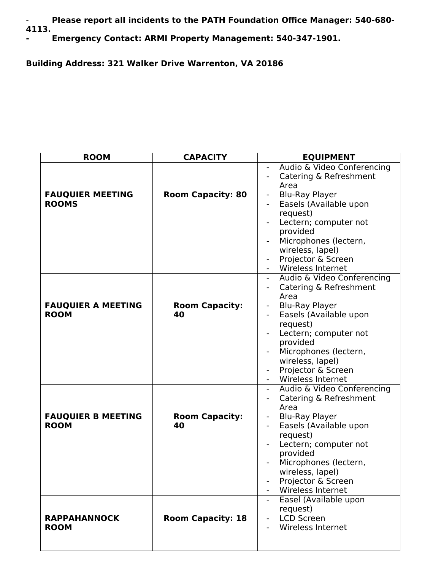- **Please report all incidents to the PATH Foundation Office Manager: 540-680- 4113.**

**- Emergency Contact: ARMI Property Management: 540-347-1901.**

**Building Address: 321 Walker Drive Warrenton, VA 20186**

| <b>ROOM</b>                              | <b>CAPACITY</b>             | <b>EQUIPMENT</b>                                                                                                                                                                                                                                                                                                                                     |
|------------------------------------------|-----------------------------|------------------------------------------------------------------------------------------------------------------------------------------------------------------------------------------------------------------------------------------------------------------------------------------------------------------------------------------------------|
| <b>FAUQUIER MEETING</b><br><b>ROOMS</b>  | <b>Room Capacity: 80</b>    | Audio & Video Conferencing<br>Catering & Refreshment<br>Area<br><b>Blu-Ray Player</b><br>$\qquad \qquad \blacksquare$<br>Easels (Available upon<br>request)<br>Lectern; computer not<br>provided<br>Microphones (lectern,<br>wireless, lapel)<br>Projector & Screen                                                                                  |
| <b>FAUQUIER A MEETING</b><br><b>ROOM</b> | <b>Room Capacity:</b><br>40 | Wireless Internet<br>Audio & Video Conferencing<br>$\qquad \qquad -$<br>Catering & Refreshment<br>$\qquad \qquad -$<br>Area<br><b>Blu-Ray Player</b><br>Easels (Available upon<br>request)<br>Lectern; computer not<br>provided<br>Microphones (lectern,<br>wireless, lapel)<br>Projector & Screen<br><b>Wireless Internet</b>                       |
| <b>FAUQUIER B MEETING</b><br><b>ROOM</b> | <b>Room Capacity:</b><br>40 | Audio & Video Conferencing<br>$\qquad \qquad \blacksquare$<br>Catering & Refreshment<br>Area<br><b>Blu-Ray Player</b><br>$\qquad \qquad \blacksquare$<br>Easels (Available upon<br>$\overline{\phantom{a}}$<br>request)<br>Lectern; computer not<br>provided<br>Microphones (lectern,<br>wireless, lapel)<br>Projector & Screen<br>Wireless Internet |
| <b>RAPPAHANNOCK</b><br><b>ROOM</b>       | <b>Room Capacity: 18</b>    | Easel (Available upon<br>request)<br><b>LCD Screen</b><br>Wireless Internet                                                                                                                                                                                                                                                                          |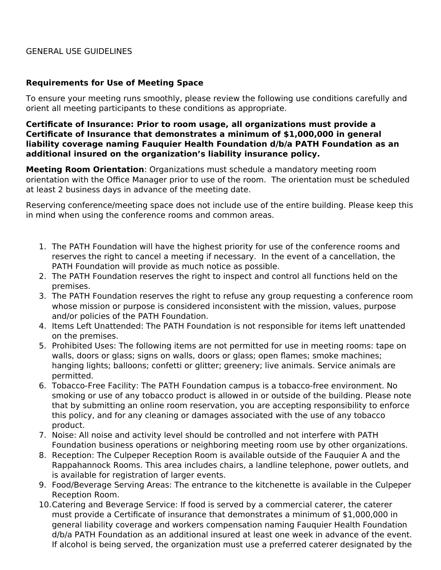## GENERAL USE GUIDELINES

## **Requirements for Use of Meeting Space**

To ensure your meeting runs smoothly, please review the following use conditions carefully and orient all meeting participants to these conditions as appropriate.

## **Certificate of Insurance: Prior to room usage, all organizations must provide a Certificate of Insurance that demonstrates a minimum of \$1,000,000 in general liability coverage naming Fauquier Health Foundation d/b/a PATH Foundation as an additional insured on the organization's liability insurance policy.**

**Meeting Room Orientation**: Organizations must schedule a mandatory meeting room orientation with the Office Manager prior to use of the room. The orientation must be scheduled at least 2 business days in advance of the meeting date.

Reserving conference/meeting space does not include use of the entire building. Please keep this in mind when using the conference rooms and common areas.

- 1. The PATH Foundation will have the highest priority for use of the conference rooms and reserves the right to cancel a meeting if necessary. In the event of a cancellation, the PATH Foundation will provide as much notice as possible.
- 2. The PATH Foundation reserves the right to inspect and control all functions held on the premises.
- 3. The PATH Foundation reserves the right to refuse any group requesting a conference room whose mission or purpose is considered inconsistent with the mission, values, purpose and/or policies of the PATH Foundation.
- 4. Items Left Unattended: The PATH Foundation is not responsible for items left unattended on the premises.
- 5. Prohibited Uses: The following items are not permitted for use in meeting rooms: tape on walls, doors or glass; signs on walls, doors or glass; open flames; smoke machines; hanging lights; balloons; confetti or glitter; greenery; live animals. Service animals are permitted.
- 6. Tobacco-Free Facility: The PATH Foundation campus is a tobacco-free environment. No smoking or use of any tobacco product is allowed in or outside of the building. Please note that by submitting an online room reservation, you are accepting responsibility to enforce this policy, and for any cleaning or damages associated with the use of any tobacco product.
- 7. Noise: All noise and activity level should be controlled and not interfere with PATH Foundation business operations or neighboring meeting room use by other organizations.
- 8. Reception: The Culpeper Reception Room is available outside of the Fauquier A and the Rappahannock Rooms. This area includes chairs, a landline telephone, power outlets, and is available for registration of larger events.
- 9. Food/Beverage Serving Areas: The entrance to the kitchenette is available in the Culpeper Reception Room.
- 10.Catering and Beverage Service: If food is served by a commercial caterer, the caterer must provide a Certificate of insurance that demonstrates a minimum of \$1,000,000 in general liability coverage and workers compensation naming Fauquier Health Foundation d/b/a PATH Foundation as an additional insured at least one week in advance of the event. If alcohol is being served, the organization must use a preferred caterer designated by the